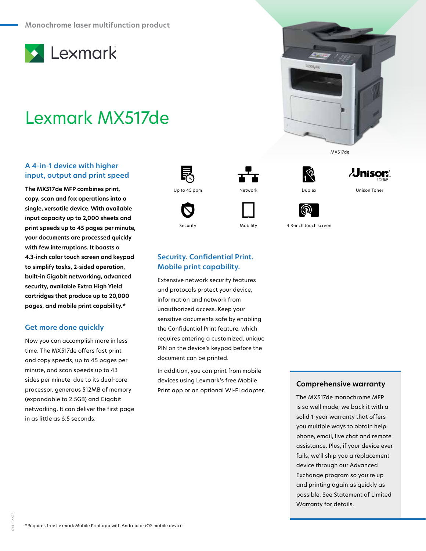

# Lexmark MX517de

## **A 4-in-1 device with higher input, output and print speed**

**The MX517de MFP combines print, copy, scan and fax operations into a single, versatile device. With available input capacity up to 2,000 sheets and print speeds up to 45 pages per minute, your documents are processed quickly with few interruptions. It boasts a 4.3-inch color touch screen and keypad to simplify tasks, 2-sided operation, built-in Gigabit networking, advanced security, available Extra High Yield cartridges that produce up to 20,000 pages, and mobile print capability.\***

## **Get more done quickly**

Now you can accomplish more in less time. The MX517de offers fast print and copy speeds, up to 45 pages per minute, and scan speeds up to 43 sides per minute, due to its dual-core processor, generous 512MB of memory (expandable to 2.5GB) and Gigabit networking. It can deliver the first page in as little as 6.5 seconds.









Security Mobility 4.3-inch touch screen

MX517de

 $\lambda$ Jnisor $\lambda$ 

# **Security. Confidential Print. Mobile print capability.**

Extensive network security features and protocols protect your device, information and network from unauthorized access. Keep your sensitive documents safe by enabling the Confidential Print feature, which requires entering a customized, unique PIN on the device's keypad before the document can be printed.

In addition, you can print from mobile devices using Lexmark's free Mobile Print app or an optional Wi-Fi adapter.

#### **Comprehensive warranty**

The MX517de monochrome MFP is so well made, we back it with a solid 1-year warranty that offers you multiple ways to obtain help: phone, email, live chat and remote assistance. Plus, if your device ever fails, we'll ship you a replacement device through our Advanced Exchange program so you're up and printing again as quickly as possible. See Statement of Limited Warranty for details.

17KDO6675

7KDO6675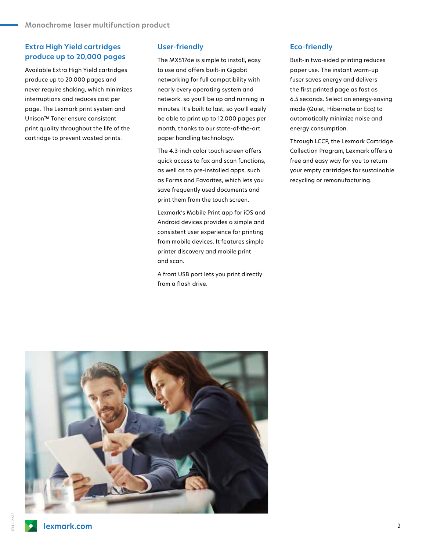# **Extra High Yield cartridges produce up to 20,000 pages**

Available Extra High Yield cartridges produce up to 20,000 pages and never require shaking, which minimizes interruptions and reduces cost per page. The Lexmark print system and Unison™ Toner ensure consistent print quality throughout the life of the cartridge to prevent wasted prints.

#### **User-friendly**

The MX517de is simple to install, easy to use and offers built-in Gigabit networking for full compatibility with nearly every operating system and network, so you'll be up and running in minutes. It's built to last, so you'll easily be able to print up to 12,000 pages per month, thanks to our state-of-the-art paper handling technology.

The 4.3-inch color touch screen offers quick access to fax and scan functions, as well as to pre-installed apps, such as Forms and Favorites, which lets you save frequently used documents and print them from the touch screen.

Lexmark's Mobile Print app for iOS and Android devices provides a simple and consistent user experience for printing from mobile devices. It features simple printer discovery and mobile print and scan.

A front USB port lets you print directly from a flash drive.

### **Eco-friendly**

Built-in two-sided printing reduces paper use. The instant warm-up fuser saves energy and delivers the first printed page as fast as 6.5 seconds. Select an energy-saving mode (Quiet, Hibernate or Eco) to automatically minimize noise and energy consumption.

Through LCCP, the Lexmark Cartridge Collection Program, Lexmark offers a free and easy way for you to return your empty cartridges for sustainable recycling or remanufacturing.

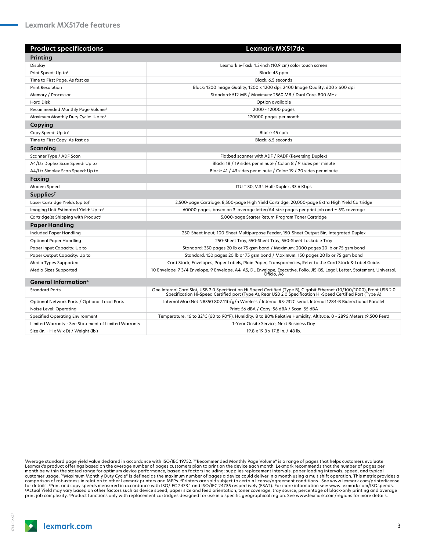| <b>Product specifications</b>                        | Lexmark MX517de                                                                                                                                                                                                                         |
|------------------------------------------------------|-----------------------------------------------------------------------------------------------------------------------------------------------------------------------------------------------------------------------------------------|
| Printing                                             |                                                                                                                                                                                                                                         |
| Display                                              | Lexmark e-Task 4.3-inch (10.9 cm) color touch screen                                                                                                                                                                                    |
| Print Speed: Up to <sup>5</sup>                      | Black: 45 ppm                                                                                                                                                                                                                           |
| Time to First Page: As fast as                       | Black: 6.5 seconds                                                                                                                                                                                                                      |
| <b>Print Resolution</b>                              | Black: 1200 Image Quality, 1200 x 1200 dpi, 2400 Image Quality, 600 x 600 dpi                                                                                                                                                           |
| Memory / Processor                                   | Standard: 512 MB / Maximum: 2560 MB / Dual Core, 800 MHz                                                                                                                                                                                |
| <b>Hard Disk</b>                                     | Option available                                                                                                                                                                                                                        |
| Recommended Monthly Page Volume <sup>2</sup>         | 2000 - 12000 pages                                                                                                                                                                                                                      |
| Maximum Monthly Duty Cycle: Up to <sup>3</sup>       | 120000 pages per month                                                                                                                                                                                                                  |
| Copying                                              |                                                                                                                                                                                                                                         |
| Copy Speed: Up to <sup>5</sup>                       | Black: 45 cpm                                                                                                                                                                                                                           |
| Time to First Copy: As fast as                       | Black: 6.5 seconds                                                                                                                                                                                                                      |
| Scanning                                             |                                                                                                                                                                                                                                         |
| Scanner Type / ADF Scan                              | Flatbed scanner with ADF / RADF (Reversing Duplex)                                                                                                                                                                                      |
| A4/Ltr Duplex Scan Speed: Up to                      | Black: 18 / 19 sides per minute / Color: 8 / 9 sides per minute                                                                                                                                                                         |
| A4/Ltr Simplex Scan Speed: Up to                     | Black: 41 / 43 sides per minute / Color: 19 / 20 sides per minute                                                                                                                                                                       |
| <b>Faxing</b>                                        |                                                                                                                                                                                                                                         |
| Modem Speed                                          | ITU T.30, V.34 Half-Duplex, 33.6 Kbps                                                                                                                                                                                                   |
| Supplies <sup>7</sup>                                |                                                                                                                                                                                                                                         |
| Laser Cartridge Yields (up to) <sup>1</sup>          | 2,500-page Cartridge, 8,500-page High Yield Cartridge, 20,000-page Extra High Yield Cartridge                                                                                                                                           |
| Imaging Unit Estimated Yield: Up to <sup>6</sup>     | 60000 pages, based on 3 average letter/A4-size pages per print job and $\sim$ 5% coverage                                                                                                                                               |
| Cartridge(s) Shipping with Product <sup>1</sup>      | 5,000-page Starter Return Program Toner Cartridge                                                                                                                                                                                       |
| <b>Paper Handling</b>                                |                                                                                                                                                                                                                                         |
| Included Paper Handling                              | 250-Sheet Input, 100-Sheet Multipurpose Feeder, 150-Sheet Output Bin, Integrated Duplex                                                                                                                                                 |
| Optional Paper Handling                              | 250-Sheet Tray, 550-Sheet Tray, 550-Sheet Lockable Tray                                                                                                                                                                                 |
| Paper Input Capacity: Up to                          | Standard: 350 pages 20 lb or 75 gsm bond / Maximum: 2000 pages 20 lb or 75 gsm bond                                                                                                                                                     |
| Paper Output Capacity: Up to                         | Standard: 150 pages 20 lb or 75 gsm bond / Maximum: 150 pages 20 lb or 75 gsm bond                                                                                                                                                      |
| Media Types Supported                                | Card Stock, Envelopes, Paper Labels, Plain Paper, Transparencies, Refer to the Card Stock & Label Guide.                                                                                                                                |
| Media Sizes Supported                                | 10 Envelope, 7 3/4 Envelope, 9 Envelope, A4, A5, DL Envelope, Executive, Folio, JIS-B5, Legal, Letter, Statement, Universal,<br>Oficio. A6                                                                                              |
| <b>General Information</b> <sup>4</sup>              |                                                                                                                                                                                                                                         |
| <b>Standard Ports</b>                                | One Internal Card Slot, USB 2.0 Specification Hi-Speed Certified (Type B), Gigabit Ethernet (10/100/1000), Front USB 2.0<br>Specification Hi-Speed Certified port (Type A), Rear USB 2.0 Specification Hi-Speed Certified Port (Type A) |
| Optional Network Ports / Optional Local Ports        | Internal MarkNet N8350 802.11b/g/n Wireless / Internal RS-232C serial, Internal 1284-B Bidirectional Parallel                                                                                                                           |
| Noise Level: Operating                               | Print: 56 dBA / Copy: 56 dBA / Scan: 55 dBA                                                                                                                                                                                             |
| <b>Specified Operating Environment</b>               | Temperature: 16 to 32°C (60 to 90°F), Humidity: 8 to 80% Relative Humidity, Altitude: 0 - 2896 Meters (9,500 Feet)                                                                                                                      |
| Limited Warranty - See Statement of Limited Warranty | 1-Year Onsite Service, Next Business Day                                                                                                                                                                                                |
| Size (in. - H x W x D) / Weight (lb.)                | 19.8 x 19.3 x 17.8 in. / 48 lb.                                                                                                                                                                                                         |

1 Average standard page yield value declared in accordance with ISO/IEC 19752. 2"Recommended Monthly Page Volume" is a range of pages that helps customers evaluate Lexmark's product offerings based on the average number of pages customers plan to print on the device each month. Lexmark recommends that the number of pages per month be within the stated range for optimum device performance, based on factors including: supplies replacement intervals, paper loading intervals, speed, and typical<br>customer usage. 3″Maximum Monthly Duty Cycle" is defi comparison of robustness in relation to other Lexmark printers and MFPs. 'Printers are sold subject to certain license/agreement conditions. See www.lexmark.com/printerlicense<br>for details. <sup>sp</sup>rint and copy speeds measured print job complexity. 7Product functions only with replacement cartridges designed for use in a specific geographical region. See www.lexmark.com/regions for more details.